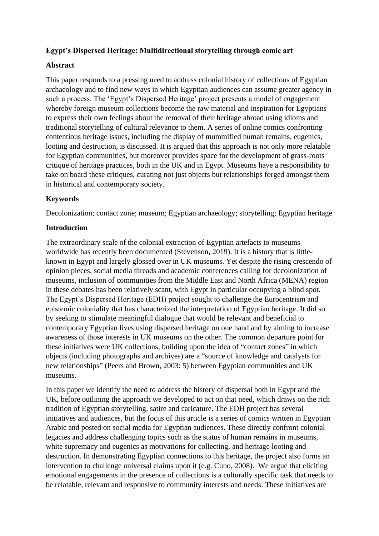# **Egypt's Dispersed Heritage: Multidirectional storytelling through comic art**

## **Abstract**

This paper responds to a pressing need to address colonial history of collections of Egyptian archaeology and to find new ways in which Egyptian audiences can assume greater agency in such a process. The 'Egypt's Dispersed Heritage' project presents a model of engagement whereby foreign museum collections become the raw material and inspiration for Egyptians to express their own feelings about the removal of their heritage abroad using idioms and traditional storytelling of cultural relevance to them. A series of online comics confronting contentious heritage issues, including the display of mummified human remains, eugenics, looting and destruction, is discussed. It is argued that this approach is not only more relatable for Egyptian communities, but moreover provides space for the development of grass-roots critique of heritage practices, both in the UK and in Egypt. Museums have a responsibility to take on board these critiques, curating not just objects but relationships forged amongst them in historical and contemporary society.

# **Keywords**

Decolonization; contact zone; museum; Egyptian archaeology; storytelling; Egyptian heritage

# **Introduction**

The extraordinary scale of the colonial extraction of Egyptian artefacts to museums worldwide has recently been documented (Stevenson, 2019). It is a history that is littleknown in Egypt and largely glossed over in UK museums. Yet despite the rising crescendo of opinion pieces, social media threads and academic conferences calling for decolonization of museums, inclusion of communities from the Middle East and North Africa (MENA) region in these debates has been relatively scant, with Egypt in particular occupying a blind spot. The Egypt's Dispersed Heritage (EDH) project sought to challenge the Eurocentrism and epistemic coloniality that has characterized the interpretation of Egyptian heritage. It did so by seeking to stimulate meaningful dialogue that would be relevant and beneficial to contemporary Egyptian lives using dispersed heritage on one hand and by aiming to increase awareness of those interests in UK museums on the other. The common departure point for these initiatives were UK collections, building upon the idea of "contact zones" in which objects (including photographs and archives) are a "source of knowledge and catalysts for new relationships" (Peers and Brown, 2003: 5) between Egyptian communities and UK museums.

In this paper we identify the need to address the history of dispersal both in Egypt and the UK, before outlining the approach we developed to act on that need, which draws on the rich tradition of Egyptian storytelling, satire and caricature. The EDH project has several initiatives and audiences, but the focus of this article is a series of comics written in Egyptian Arabic and posted on social media for Egyptian audiences. These directly confront colonial legacies and address challenging topics such as the status of human remains in museums, white supremacy and eugenics as motivations for collecting, and heritage looting and destruction. In demonstrating Egyptian connections to this heritage, the project also forms an intervention to challenge universal claims upon it (e.g. Cuno, 2008). We argue that eliciting emotional engagements in the presence of collections is a culturally specific task that needs to be relatable, relevant and responsive to community interests and needs. These initiatives are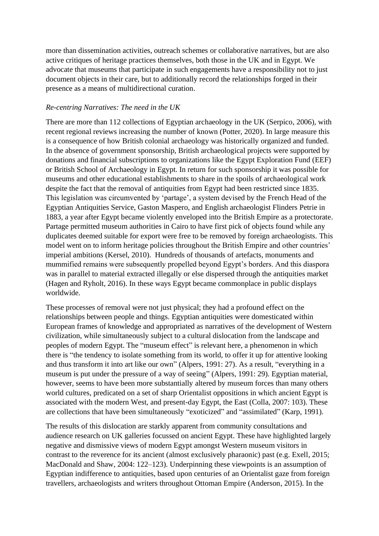more than dissemination activities, outreach schemes or collaborative narratives, but are also active critiques of heritage practices themselves, both those in the UK and in Egypt. We advocate that museums that participate in such engagements have a responsibility not to just document objects in their care, but to additionally record the relationships forged in their presence as a means of multidirectional curation.

#### *Re-centring Narratives: The need in the UK*

There are more than 112 collections of Egyptian archaeology in the UK (Serpico, 2006), with recent regional reviews increasing the number of known (Potter, 2020). In large measure this is a consequence of how British colonial archaeology was historically organized and funded. In the absence of government sponsorship, British archaeological projects were supported by donations and financial subscriptions to organizations like the Egypt Exploration Fund (EEF) or British School of Archaeology in Egypt. In return for such sponsorship it was possible for museums and other educational establishments to share in the spoils of archaeological work despite the fact that the removal of antiquities from Egypt had been restricted since 1835. This legislation was circumvented by 'partage', a system devised by the French Head of the Egyptian Antiquities Service, Gaston Maspero, and English archaeologist Flinders Petrie in 1883, a year after Egypt became violently enveloped into the British Empire as a protectorate. Partage permitted museum authorities in Cairo to have first pick of objects found while any duplicates deemed suitable for export were free to be removed by foreign archaeologists. This model went on to inform heritage policies throughout the British Empire and other countries' imperial ambitions (Kersel, 2010). Hundreds of thousands of artefacts, monuments and mummified remains were subsequently propelled beyond Egypt's borders. And this diaspora was in parallel to material extracted illegally or else dispersed through the antiquities market (Hagen and Ryholt, 2016). In these ways Egypt became commonplace in public displays worldwide.

These processes of removal were not just physical; they had a profound effect on the relationships between people and things. Egyptian antiquities were domesticated within European frames of knowledge and appropriated as narratives of the development of Western civilization, while simultaneously subject to a cultural dislocation from the landscape and peoples of modern Egypt. The "museum effect" is relevant here, a phenomenon in which there is "the tendency to isolate something from its world, to offer it up for attentive looking and thus transform it into art like our own" (Alpers, 1991: 27). As a result, "everything in a museum is put under the pressure of a way of seeing" (Alpers, 1991: 29). Egyptian material, however, seems to have been more substantially altered by museum forces than many others world cultures, predicated on a set of sharp Orientalist oppositions in which ancient Egypt is associated with the modern West, and present-day Egypt, the East (Colla, 2007: 103). These are collections that have been simultaneously "exoticized" and "assimilated" (Karp, 1991).

The results of this dislocation are starkly apparent from community consultations and audience research on UK galleries focussed on ancient Egypt. These have highlighted largely negative and dismissive views of modern Egypt amongst Western museum visitors in contrast to the reverence for its ancient (almost exclusively pharaonic) past (e.g. Exell, 2015; MacDonald and Shaw, 2004: 122–123). Underpinning these viewpoints is an assumption of Egyptian indifference to antiquities, based upon centuries of an Orientalist gaze from foreign travellers, archaeologists and writers throughout Ottoman Empire (Anderson, 2015). In the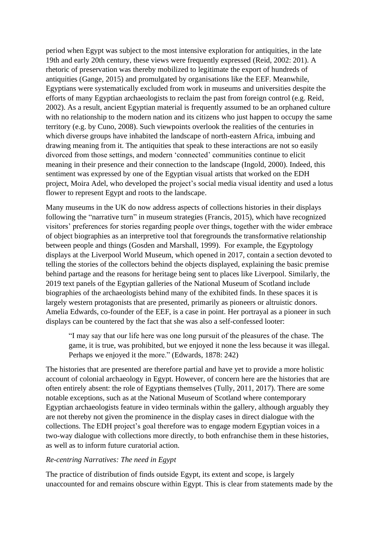period when Egypt was subject to the most intensive exploration for antiquities, in the late 19th and early 20th century, these views were frequently expressed (Reid, 2002: 201). A rhetoric of preservation was thereby mobilized to legitimate the export of hundreds of antiquities (Gange, 2015) and promulgated by organisations like the EEF. Meanwhile, Egyptians were systematically excluded from work in museums and universities despite the efforts of many Egyptian archaeologists to reclaim the past from foreign control (e.g. Reid, 2002). As a result, ancient Egyptian material is frequently assumed to be an orphaned culture with no relationship to the modern nation and its citizens who just happen to occupy the same territory (e.g. by Cuno, 2008). Such viewpoints overlook the realities of the centuries in which diverse groups have inhabited the landscape of north-eastern Africa, imbuing and drawing meaning from it. The antiquities that speak to these interactions are not so easily divorced from those settings, and modern 'connected' communities continue to elicit meaning in their presence and their connection to the landscape (Ingold, 2000). Indeed, this sentiment was expressed by one of the Egyptian visual artists that worked on the EDH project, Moira Adel, who developed the project's social media visual identity and used a lotus flower to represent Egypt and roots to the landscape.

Many museums in the UK do now address aspects of collections histories in their displays following the "narrative turn" in museum strategies (Francis, 2015), which have recognized visitors' preferences for stories regarding people over things, together with the wider embrace of object biographies as an interpretive tool that foregrounds the transformative relationship between people and things (Gosden and Marshall, 1999). For example, the Egyptology displays at the Liverpool World Museum, which opened in 2017, contain a section devoted to telling the stories of the collectors behind the objects displayed, explaining the basic premise behind partage and the reasons for heritage being sent to places like Liverpool. Similarly, the 2019 text panels of the Egyptian galleries of the National Museum of Scotland include biographies of the archaeologists behind many of the exhibited finds. In these spaces it is largely western protagonists that are presented, primarily as pioneers or altruistic donors. Amelia Edwards, co-founder of the EEF, is a case in point. Her portrayal as a pioneer in such displays can be countered by the fact that she was also a self-confessed looter:

"I may say that our life here was one long pursuit of the pleasures of the chase. The game, it is true, was prohibited, but we enjoyed it none the less because it was illegal. Perhaps we enjoyed it the more." (Edwards, 1878: 242)

The histories that are presented are therefore partial and have yet to provide a more holistic account of colonial archaeology in Egypt. However, of concern here are the histories that are often entirely absent: the role of Egyptians themselves (Tully, 2011, 2017). There are some notable exceptions, such as at the National Museum of Scotland where contemporary Egyptian archaeologists feature in video terminals within the gallery, although arguably they are not thereby not given the prominence in the display cases in direct dialogue with the collections. The EDH project's goal therefore was to engage modern Egyptian voices in a two-way dialogue with collections more directly, to both enfranchise them in these histories, as well as to inform future curatorial action.

#### *Re-centring Narratives: The need in Egypt*

The practice of distribution of finds outside Egypt, its extent and scope, is largely unaccounted for and remains obscure within Egypt. This is clear from statements made by the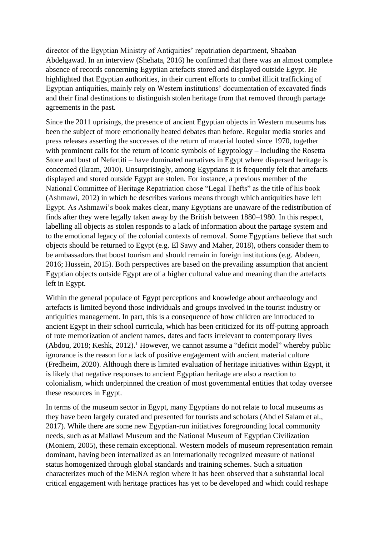director of the Egyptian Ministry of Antiquities' repatriation department, Shaaban Abdelgawad. In an interview (Shehata, 2016) he confirmed that there was an almost complete absence of records concerning Egyptian artefacts stored and displayed outside Egypt. He highlighted that Egyptian authorities, in their current efforts to combat illicit trafficking of Egyptian antiquities, mainly rely on Western institutions' documentation of excavated finds and their final destinations to distinguish stolen heritage from that removed through partage agreements in the past.

Since the 2011 uprisings, the presence of ancient Egyptian objects in Western museums has been the subject of more emotionally heated debates than before. Regular media stories and press releases asserting the successes of the return of material looted since 1970, together with prominent calls for the return of iconic symbols of Egyptology – including the Rosetta Stone and bust of Nefertiti – have dominated narratives in Egypt where dispersed heritage is concerned (Ikram, 2010). Unsurprisingly, among Egyptians it is frequently felt that artefacts displayed and stored outside Egypt are stolen. For instance, a previous member of the National Committee of Heritage Repatriation chose "Legal Thefts" as the title of his book (Ashmawi, 2012) in which he describes various means through which antiquities have left Egypt. As Ashmawi's book makes clear, many Egyptians are unaware of the redistribution of finds after they were legally taken away by the British between 1880–1980. In this respect, labelling all objects as stolen responds to a lack of information about the partage system and to the emotional legacy of the colonial contexts of removal. Some Egyptians believe that such objects should be returned to Egypt (e.g. El Sawy and Maher, 2018), others consider them to be ambassadors that boost tourism and should remain in foreign institutions (e.g. Abdeen, 2016; Hussein, 2015). Both perspectives are based on the prevailing assumption that ancient Egyptian objects outside Egypt are of a higher cultural value and meaning than the artefacts left in Egypt.

Within the general populace of Egypt perceptions and knowledge about archaeology and artefacts is limited beyond those individuals and groups involved in the tourist industry or antiquities management. In part, this is a consequence of how children are introduced to ancient Egypt in their school curricula, which has been criticized for its off-putting approach of rote memorization of ancient names, dates and facts irrelevant to contemporary lives (Abdou, 2018; Keshk, 2012).<sup>1</sup> However, we cannot assume a "deficit model" whereby public ignorance is the reason for a lack of positive engagement with ancient material culture (Fredheim, 2020). Although there is limited evaluation of heritage initiatives within Egypt, it is likely that negative responses to ancient Egyptian heritage are also a reaction to colonialism, which underpinned the creation of most governmental entities that today oversee these resources in Egypt.

In terms of the museum sector in Egypt, many Egyptians do not relate to local museums as they have been largely curated and presented for tourists and scholars (Abd el Salam et al., 2017). While there are some new Egyptian-run initiatives foregrounding local community needs, such as at Mallawi Museum and the National Museum of Egyptian Civilization (Moniem, 2005), these remain exceptional. Western models of museum representation remain dominant, having been internalized as an internationally recognized measure of national status homogenized through global standards and training schemes. Such a situation characterizes much of the MENA region where it has been observed that a substantial local critical engagement with heritage practices has yet to be developed and which could reshape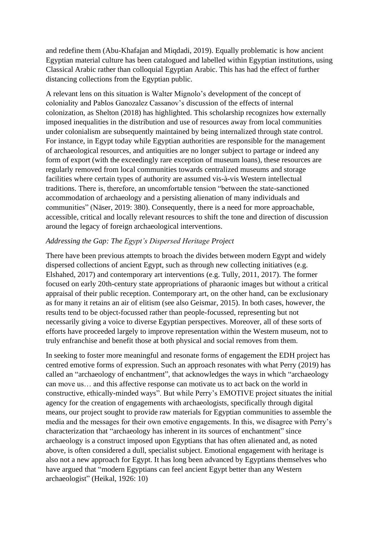and redefine them (Abu-Khafajan and Miqdadi, 2019). Equally problematic is how ancient Egyptian material culture has been catalogued and labelled within Egyptian institutions, using Classical Arabic rather than colloquial Egyptian Arabic. This has had the effect of further distancing collections from the Egyptian public.

A relevant lens on this situation is Walter Mignolo's development of the concept of coloniality and Pablos Ganozalez Cassanov's discussion of the effects of internal colonization, as Shelton (2018) has highlighted. This scholarship recognizes how externally imposed inequalities in the distribution and use of resources away from local communities under colonialism are subsequently maintained by being internalized through state control. For instance, in Egypt today while Egyptian authorities are responsible for the management of archaeological resources, and antiquities are no longer subject to partage or indeed any form of export (with the exceedingly rare exception of museum loans), these resources are regularly removed from local communities towards centralized museums and storage facilities where certain types of authority are assumed vis-à-vis Western intellectual traditions. There is, therefore, an uncomfortable tension "between the state-sanctioned accommodation of archaeology and a persisting alienation of many individuals and communities" (Näser, 2019: 380). Consequently, there is a need for more approachable, accessible, critical and locally relevant resources to shift the tone and direction of discussion around the legacy of foreign archaeological interventions.

# *Addressing the Gap: The Egypt's Dispersed Heritage Project*

There have been previous attempts to broach the divides between modern Egypt and widely dispersed collections of ancient Egypt, such as through new collecting initiatives (e.g. Elshahed, 2017) and contemporary art interventions (e.g. Tully, 2011, 2017). The former focused on early 20th-century state appropriations of pharaonic images but without a critical appraisal of their public reception. Contemporary art, on the other hand, can be exclusionary as for many it retains an air of elitism (see also Geismar, 2015). In both cases, however, the results tend to be object-focussed rather than people-focussed, representing but not necessarily giving a voice to diverse Egyptian perspectives. Moreover, all of these sorts of efforts have proceeded largely to improve representation within the Western museum, not to truly enfranchise and benefit those at both physical and social removes from them.

In seeking to foster more meaningful and resonate forms of engagement the EDH project has centred emotive forms of expression. Such an approach resonates with what Perry (2019) has called an "archaeology of enchantment", that acknowledges the ways in which "archaeology can move us… and this affective response can motivate us to act back on the world in constructive, ethically-minded ways". But while Perry's EMOTIVE project situates the initial agency for the creation of engagements with archaeologists, specifically through digital means, our project sought to provide raw materials for Egyptian communities to assemble the media and the messages for their own emotive engagements. In this, we disagree with Perry's characterization that "archaeology has inherent in its sources of enchantment" since archaeology is a construct imposed upon Egyptians that has often alienated and, as noted above, is often considered a dull, specialist subject. Emotional engagement with heritage is also not a new approach for Egypt. It has long been advanced by Egyptians themselves who have argued that "modern Egyptians can feel ancient Egypt better than any Western archaeologist" (Heikal, 1926: 10)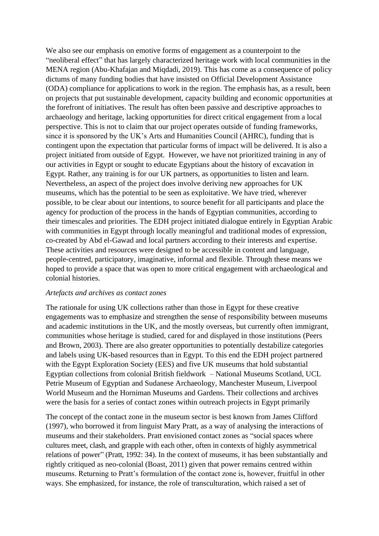We also see our emphasis on emotive forms of engagement as a counterpoint to the "neoliberal effect" that has largely characterized heritage work with local communities in the MENA region (Abu-Khafajan and Miqdadi, 2019). This has come as a consequence of policy dictums of many funding bodies that have insisted on Official Development Assistance (ODA) compliance for applications to work in the region. The emphasis has, as a result, been on projects that put sustainable development, capacity building and economic opportunities at the forefront of initiatives. The result has often been passive and descriptive approaches to archaeology and heritage, lacking opportunities for direct critical engagement from a local perspective. This is not to claim that our project operates outside of funding frameworks, since it is sponsored by the UK's Arts and Humanities Council (AHRC), funding that is contingent upon the expectation that particular forms of impact will be delivered. It is also a project initiated from outside of Egypt. However, we have not prioritized training in any of our activities in Egypt or sought to educate Egyptians about the history of excavation in Egypt. Rather, any training is for our UK partners, as opportunities to listen and learn. Nevertheless, an aspect of the project does involve deriving new approaches for UK museums, which has the potential to be seen as exploitative. We have tried, wherever possible, to be clear about our intentions, to source benefit for all participants and place the agency for production of the process in the hands of Egyptian communities, according to their timescales and priorities. The EDH project initiated dialogue entirely in Egyptian Arabic with communities in Egypt through locally meaningful and traditional modes of expression, co-created by Abd el-Gawad and local partners according to their interests and expertise. These activities and resources were designed to be accessible in content and language, people-centred, participatory, imaginative, informal and flexible. Through these means we hoped to provide a space that was open to more critical engagement with archaeological and colonial histories.

#### *Artefacts and archives as contact zones*

The rationale for using UK collections rather than those in Egypt for these creative engagements was to emphasize and strengthen the sense of responsibility between museums and academic institutions in the UK, and the mostly overseas, but currently often immigrant, communities whose heritage is studied, cared for and displayed in those institutions (Peers and Brown, 2003). There are also greater opportunities to potentially destabilize categories and labels using UK-based resources than in Egypt. To this end the EDH project partnered with the Egypt Exploration Society (EES) and five UK museums that hold substantial Egyptian collections from colonial British fieldwork – National Museums Scotland, UCL Petrie Museum of Egyptian and Sudanese Archaeology, Manchester Museum, Liverpool World Museum and the Horniman Museums and Gardens. Their collections and archives were the basis for a series of contact zones within outreach projects in Egypt primarily

The concept of the contact zone in the museum sector is best known from James Clifford (1997), who borrowed it from linguist Mary Pratt, as a way of analysing the interactions of museums and their stakeholders. Pratt envisioned contact zones as "social spaces where cultures meet, clash, and grapple with each other, often in contexts of highly asymmetrical relations of power" (Pratt, 1992: 34). In the context of museums, it has been substantially and rightly critiqued as neo-colonial (Boast, 2011) given that power remains centred within museums. Returning to Pratt's formulation of the contact zone is, however, fruitful in other ways. She emphasized, for instance, the role of transculturation, which raised a set of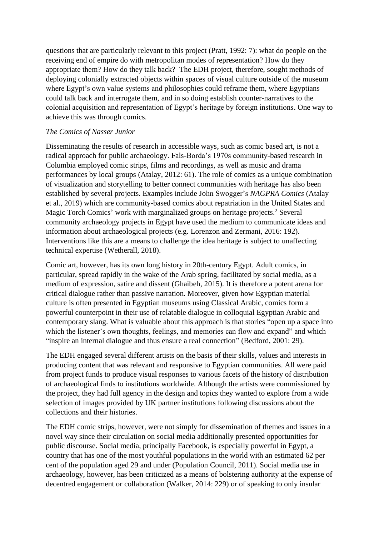questions that are particularly relevant to this project (Pratt, 1992: 7): what do people on the receiving end of empire do with metropolitan modes of representation? How do they appropriate them? How do they talk back? The EDH project, therefore, sought methods of deploying colonially extracted objects within spaces of visual culture outside of the museum where Egypt's own value systems and philosophies could reframe them, where Egyptians could talk back and interrogate them, and in so doing establish counter-narratives to the colonial acquisition and representation of Egypt's heritage by foreign institutions. One way to achieve this was through comics.

#### *The Comics of Nasser Junior*

Disseminating the results of research in accessible ways, such as comic based art, is not a radical approach for public archaeology. Fals-Borda's 1970s community-based research in Columbia employed comic strips, films and recordings, as well as music and drama performances by local groups (Atalay, 2012: 61). The role of comics as a unique combination of visualization and storytelling to better connect communities with heritage has also been established by several projects. Examples include John Swogger's *NAGPRA Comics* (Atalay et al., 2019) which are community-based comics about repatriation in the United States and Magic Torch Comics' work with marginalized groups on heritage projects. <sup>2</sup> Several community archaeology projects in Egypt have used the medium to communicate ideas and information about archaeological projects (e.g. Lorenzon and Zermani, 2016: 192). Interventions like this are a means to challenge the idea heritage is subject to unaffecting technical expertise (Wetherall, 2018).

Comic art, however, has its own long history in 20th-century Egypt. Adult comics, in particular, spread rapidly in the wake of the Arab spring, facilitated by social media, as a medium of expression, satire and dissent (Ghaibeh, 2015). It is therefore a potent arena for critical dialogue rather than passive narration. Moreover, given how Egyptian material culture is often presented in Egyptian museums using Classical Arabic, comics form a powerful counterpoint in their use of relatable dialogue in colloquial Egyptian Arabic and contemporary slang. What is valuable about this approach is that stories "open up a space into which the listener's own thoughts, feelings, and memories can flow and expand" and which "inspire an internal dialogue and thus ensure a real connection" (Bedford, 2001: 29).

The EDH engaged several different artists on the basis of their skills, values and interests in producing content that was relevant and responsive to Egyptian communities. All were paid from project funds to produce visual responses to various facets of the history of distribution of archaeological finds to institutions worldwide. Although the artists were commissioned by the project, they had full agency in the design and topics they wanted to explore from a wide selection of images provided by UK partner institutions following discussions about the collections and their histories.

The EDH comic strips, however, were not simply for dissemination of themes and issues in a novel way since their circulation on social media additionally presented opportunities for public discourse. Social media, principally Facebook, is especially powerful in Egypt, a country that has one of the most youthful populations in the world with an estimated 62 per cent of the population aged 29 and under (Population Council, 2011). Social media use in archaeology, however, has been criticized as a means of bolstering authority at the expense of decentred engagement or collaboration (Walker, 2014: 229) or of speaking to only insular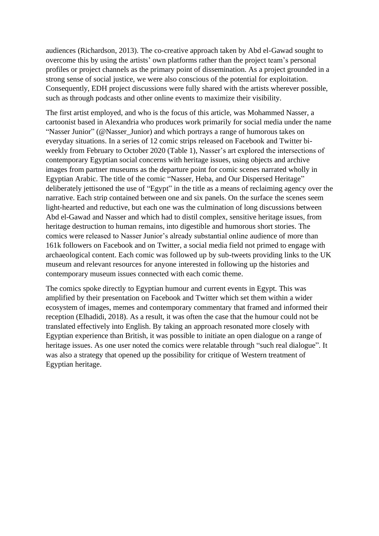audiences (Richardson, 2013). The co-creative approach taken by Abd el-Gawad sought to overcome this by using the artists' own platforms rather than the project team's personal profiles or project channels as the primary point of dissemination. As a project grounded in a strong sense of social justice, we were also conscious of the potential for exploitation. Consequently, EDH project discussions were fully shared with the artists wherever possible, such as through podcasts and other online events to maximize their visibility.

The first artist employed, and who is the focus of this article, was Mohammed Nasser, a cartoonist based in Alexandria who produces work primarily for social media under the name "Nasser Junior" (@Nasser\_Junior) and which portrays a range of humorous takes on everyday situations. In a series of 12 comic strips released on Facebook and Twitter biweekly from February to October 2020 (Table 1), Nasser's art explored the intersections of contemporary Egyptian social concerns with heritage issues, using objects and archive images from partner museums as the departure point for comic scenes narrated wholly in Egyptian Arabic. The title of the comic "Nasser, Heba, and Our Dispersed Heritage" deliberately jettisoned the use of "Egypt" in the title as a means of reclaiming agency over the narrative. Each strip contained between one and six panels. On the surface the scenes seem light-hearted and reductive, but each one was the culmination of long discussions between Abd el-Gawad and Nasser and which had to distil complex, sensitive heritage issues, from heritage destruction to human remains, into digestible and humorous short stories. The comics were released to Nasser Junior's already substantial online audience of more than 161k followers on Facebook and on Twitter, a social media field not primed to engage with archaeological content. Each comic was followed up by sub-tweets providing links to the UK museum and relevant resources for anyone interested in following up the histories and contemporary museum issues connected with each comic theme.

The comics spoke directly to Egyptian humour and current events in Egypt. This was amplified by their presentation on Facebook and Twitter which set them within a wider ecosystem of images, memes and contemporary commentary that framed and informed their reception (Elhadidi, 2018). As a result, it was often the case that the humour could not be translated effectively into English. By taking an approach resonated more closely with Egyptian experience than British, it was possible to initiate an open dialogue on a range of heritage issues. As one user noted the comics were relatable through "such real dialogue". It was also a strategy that opened up the possibility for critique of Western treatment of Egyptian heritage.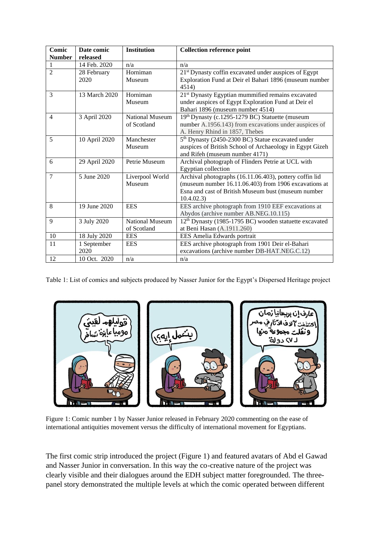| Comic<br><b>Number</b> | Date comic<br>released | <b>Institution</b>                    | <b>Collection reference point</b>                                                                                                                                                    |
|------------------------|------------------------|---------------------------------------|--------------------------------------------------------------------------------------------------------------------------------------------------------------------------------------|
|                        | 14 Feb. 2020           | n/a                                   | n/a                                                                                                                                                                                  |
| $\overline{2}$         | 28 February<br>2020    | Horniman<br>Museum                    | 21 <sup>st</sup> Dynasty coffin excavated under auspices of Egypt<br>Exploration Fund at Deir el Bahari 1896 (museum number<br>4514)                                                 |
| 3                      | 13 March 2020          | Horniman<br>Museum                    | 21 <sup>st</sup> Dynasty Egyptian mummified remains excavated<br>under auspices of Egypt Exploration Fund at Deir el<br>Bahari 1896 (museum number 4514)                             |
| $\overline{4}$         | 3 April 2020           | <b>National Museum</b><br>of Scotland | 19th Dynasty (c.1295-1279 BC) Statuette (museum<br>number A.1956.143) from excavations under auspices of<br>A. Henry Rhind in 1857, Thebes                                           |
| 5                      | 10 April 2020          | Manchester<br>Museum                  | 5 <sup>th</sup> Dynasty (2450-2300 BC) Statue excavated under<br>auspices of British School of Archaeology in Egypt Gizeh<br>and Rifeh (museum number 4171)                          |
| 6                      | 29 April 2020          | Petrie Museum                         | Archival photograph of Flinders Petrie at UCL with<br>Egyptian collection                                                                                                            |
| $\overline{7}$         | 5 June 2020            | Liverpool World<br>Museum             | Archival photographs (16.11.06.403), pottery coffin lid<br>(museum number 16.11.06.403) from 1906 excavations at<br>Esna and cast of British Museum bust (museum number<br>10.4.02.3 |
| 8                      | 19 June 2020           | <b>EES</b>                            | EES archive photograph from 1910 EEF excavations at<br>Abydos (archive number AB.NEG.10.115)                                                                                         |
| 9                      | 3 July 2020            | National Museum<br>of Scotland        | 12 <sup>th</sup> Dynasty (1985-1795 BC) wooden statuette excavated<br>at Beni Hasan (A.1911.260)                                                                                     |
| 10                     | 18 July 2020           | <b>EES</b>                            | EES Amelia Edwards portrait                                                                                                                                                          |
| 11                     | 1 September<br>2020    | <b>EES</b>                            | EES archive photograph from 1901 Deir el-Bahari<br>excavations (archive number DB-HAT.NEG.C.12)                                                                                      |
| 12                     | 10 Oct. 2020           | n/a                                   | n/a                                                                                                                                                                                  |

Table 1: List of comics and subjects produced by Nasser Junior for the Egypt's Dispersed Heritage project



Figure 1: Comic number 1 by Nasser Junior released in February 2020 commenting on the ease of international antiquities movement versus the difficulty of international movement for Egyptians.

The first comic strip introduced the project (Figure 1) and featured avatars of Abd el Gawad and Nasser Junior in conversation. In this way the co-creative nature of the project was clearly visible and their dialogues around the EDH subject matter foregrounded. The threepanel story demonstrated the multiple levels at which the comic operated between different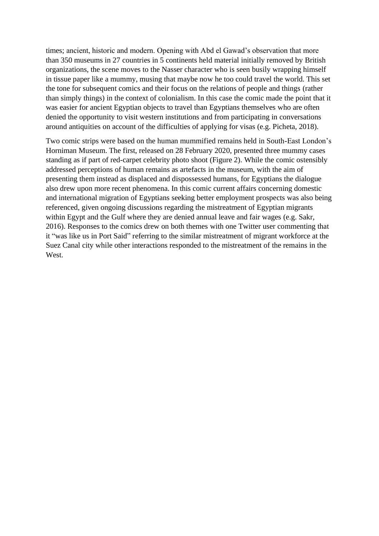times; ancient, historic and modern. Opening with Abd el Gawad's observation that more than 350 museums in 27 countries in 5 continents held material initially removed by British organizations, the scene moves to the Nasser character who is seen busily wrapping himself in tissue paper like a mummy, musing that maybe now he too could travel the world. This set the tone for subsequent comics and their focus on the relations of people and things (rather than simply things) in the context of colonialism. In this case the comic made the point that it was easier for ancient Egyptian objects to travel than Egyptians themselves who are often denied the opportunity to visit western institutions and from participating in conversations around antiquities on account of the difficulties of applying for visas (e.g. Picheta, 2018).

Two comic strips were based on the human mummified remains held in South-East London's Horniman Museum. The first, released on 28 February 2020, presented three mummy cases standing as if part of red-carpet celebrity photo shoot (Figure 2). While the comic ostensibly addressed perceptions of human remains as artefacts in the museum, with the aim of presenting them instead as displaced and dispossessed humans, for Egyptians the dialogue also drew upon more recent phenomena. In this comic current affairs concerning domestic and international migration of Egyptians seeking better employment prospects was also being referenced, given ongoing discussions regarding the mistreatment of Egyptian migrants within Egypt and the Gulf where they are denied annual leave and fair wages (e.g. Sakr, 2016). Responses to the comics drew on both themes with one Twitter user commenting that it "was like us in Port Said" referring to the similar mistreatment of migrant workforce at the Suez Canal city while other interactions responded to the mistreatment of the remains in the West.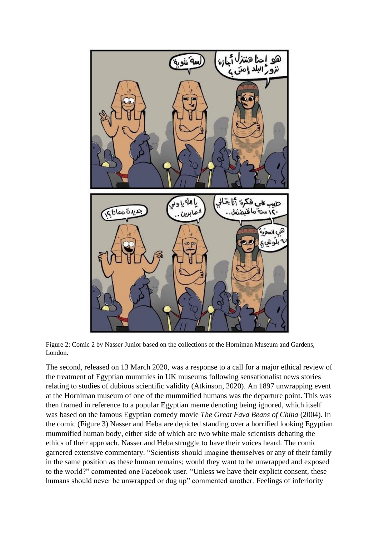

Figure 2: Comic 2 by Nasser Junior based on the collections of the Horniman Museum and Gardens, London.

The second, released on 13 March 2020, was a response to a call for a major ethical review of the treatment of Egyptian mummies in UK museums following sensationalist news stories relating to studies of dubious scientific validity (Atkinson, 2020). An 1897 unwrapping event at the Horniman museum of one of the mummified humans was the departure point. This was then framed in reference to a popular Egyptian meme denoting being ignored, which itself was based on the famous Egyptian comedy movie *The Great Fava Beans of China* (2004). In the comic (Figure 3) Nasser and Heba are depicted standing over a horrified looking Egyptian mummified human body, either side of which are two white male scientists debating the ethics of their approach. Nasser and Heba struggle to have their voices heard. The comic garnered extensive commentary. "Scientists should imagine themselves or any of their family in the same position as these human remains; would they want to be unwrapped and exposed to the world?" commented one Facebook user. "Unless we have their explicit consent, these humans should never be unwrapped or dug up" commented another. Feelings of inferiority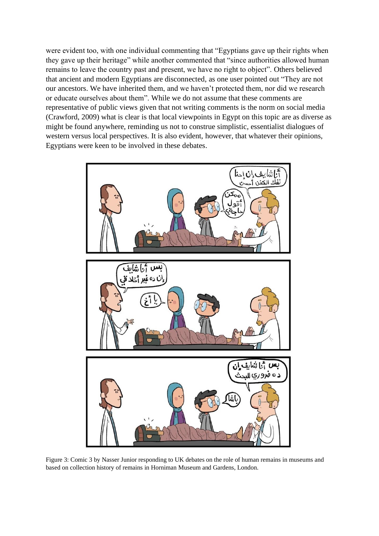were evident too, with one individual commenting that "Egyptians gave up their rights when they gave up their heritage" while another commented that "since authorities allowed human remains to leave the country past and present, we have no right to object". Others believed that ancient and modern Egyptians are disconnected, as one user pointed out "They are not our ancestors. We have inherited them, and we haven't protected them, nor did we research or educate ourselves about them". While we do not assume that these comments are representative of public views given that not writing comments is the norm on social media (Crawford, 2009) what is clear is that local viewpoints in Egypt on this topic are as diverse as might be found anywhere, reminding us not to construe simplistic, essentialist dialogues of western versus local perspectives. It is also evident, however, that whatever their opinions, Egyptians were keen to be involved in these debates.



Figure 3: Comic 3 by Nasser Junior responding to UK debates on the role of human remains in museums and based on collection history of remains in Horniman Museum and Gardens, London.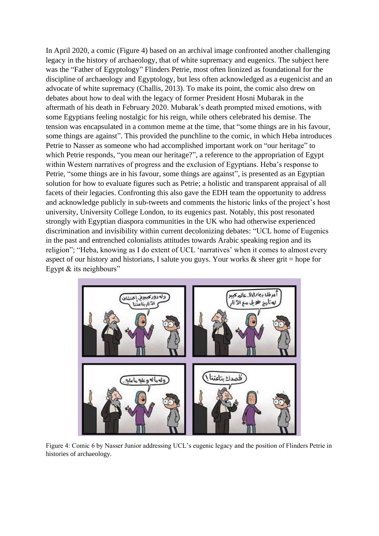In April 2020, a comic (Figure 4) based on an archival image confronted another challenging legacy in the history of archaeology, that of white supremacy and eugenics. The subject here was the "Father of Egyptology" Flinders Petrie, most often lionized as foundational for the discipline of archaeology and Egyptology, but less often acknowledged as a eugenicist and an advocate of white supremacy (Challis, 2013). To make its point, the comic also drew on debates about how to deal with the legacy of former President Hosni Mubarak in the aftermath of his death in February 2020. Mubarak's death prompted mixed emotions, with some Egyptians feeling nostalgic for his reign, while others celebrated his demise. The tension was encapsulated in a common meme at the time, that "some things are in his favour, some things are against". This provided the punchline to the comic, in which Heba introduces Petrie to Nasser as someone who had accomplished important work on "our heritage" to which Petrie responds, "you mean our heritage?", a reference to the appropriation of Egypt within Western narratives of progress and the exclusion of Egyptians. Heba's response to Petrie, "some things are in his favour, some things are against", is presented as an Egyptian solution for how to evaluate figures such as Petrie; a holistic and transparent appraisal of all facets of their legacies. Confronting this also gave the EDH team the opportunity to address and acknowledge publicly in sub-tweets and comments the historic links of the project's host university, University College London, to its eugenics past. Notably, this post resonated strongly with Egyptian diaspora communities in the UK who had otherwise experienced discrimination and invisibility within current decolonizing debates: "UCL home of Eugenics in the past and entrenched colonialists attitudes towards Arabic speaking region and its religion"; "Heba, knowing as I do extent of UCL 'narratives' when it comes to almost every aspect of our history and historians, I salute you guys. Your works  $\&$  sheer grit = hope for Egypt  $&$  its neighbours"



Figure 4: Comic 6 by Nasser Junior addressing UCL's eugenic legacy and the position of Flinders Petrie in histories of archaeology.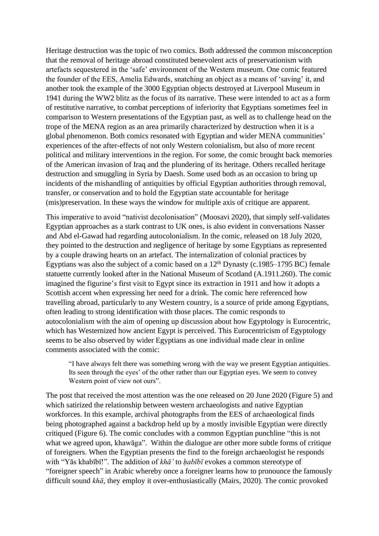Heritage destruction was the topic of two comics. Both addressed the common misconception that the removal of heritage abroad constituted benevolent acts of preservationism with artefacts sequestered in the 'safe' environment of the Western museum. One comic featured the founder of the EES, Amelia Edwards, snatching an object as a means of 'saving' it, and another took the example of the 3000 Egyptian objects destroyed at Liverpool Museum in 1941 during the WW2 blitz as the focus of its narrative. These were intended to act as a form of restitutive narrative, to combat perceptions of inferiority that Egyptians sometimes feel in comparison to Western presentations of the Egyptian past, as well as to challenge head on the trope of the MENA region as an area primarily characterized by destruction when it is a global phenomenon. Both comics resonated with Egyptian and wider MENA communities' experiences of the after-effects of not only Western colonialism, but also of more recent political and military interventions in the region. For some, the comic brought back memories of the American invasion of Iraq and the plundering of its heritage. Others recalled heritage destruction and smuggling in Syria by Daesh. Some used both as an occasion to bring up incidents of the mishandling of antiquities by official Egyptian authorities through removal, transfer, or conservation and to hold the Egyptian state accountable for heritage (mis)preservation. In these ways the window for multiple axis of critique are apparent.

This imperative to avoid "nativist decolonisation" (Moosavi 2020), that simply self-validates Egyptian approaches as a stark contrast to UK ones, is also evident in conversations Nasser and Abd el-Gawad had regarding autocolonialism. In the comic, released on 18 July 2020, they pointed to the destruction and negligence of heritage by some Egyptians as represented by a couple drawing hearts on an artefact. The internalization of colonial practices by Egyptians was also the subject of a comic based on a  $12<sup>th</sup>$  Dynasty (c.1985–1795 BC) female statuette currently looked after in the National Museum of Scotland (A.1911.260). The comic imagined the figurine's first visit to Egypt since its extraction in 1911 and how it adopts a Scottish accent when expressing her need for a drink. The comic here referenced how travelling abroad, particularly to any Western country, is a source of pride among Egyptians, often leading to strong identification with those places. The comic responds to autocolonialism with the aim of opening up discussion about how Egyptology is Eurocentric, which has Westernized how ancient Egypt is perceived. This Eurocentricism of Egyptology seems to be also observed by wider Egyptians as one individual made clear in online comments associated with the comic:

"I have always felt there was something wrong with the way we present Egyptian antiquities. Its seen through the eyes' of the other rather than our Egyptian eyes. We seem to convey Western point of view not ours".

The post that received the most attention was the one released on 20 June 2020 (Figure 5) and which satirized the relationship between western archaeologists and native Egyptian workforces. In this example, archival photographs from the EES of archaeological finds being photographed against a backdrop held up by a mostly invisible Egyptian were directly critiqued (Figure 6). The comic concludes with a common Egyptian punchline "this is not what we agreed upon, khawāga". Within the dialogue are other more subtle forms of critique of foreigners. When the Egyptian presents the find to the foreign archaeologist he responds with "Yās khabībī!". The addition of *khā'* to *ḥabībī* evokes a common stereotype of "foreigner speech" in Arabic whereby once a foreigner learns how to pronounce the famously difficult sound *khā*, they employ it over-enthusiastically (Mairs, 2020). The comic provoked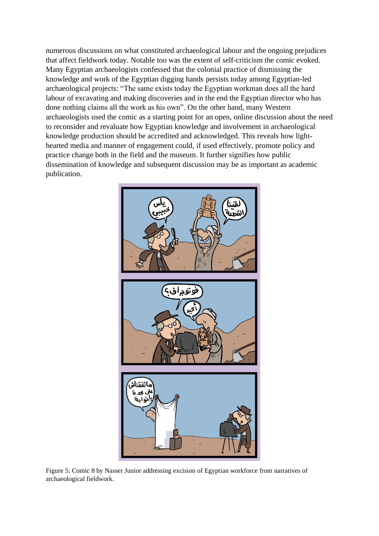numerous discussions on what constituted archaeological labour and the ongoing prejudices that affect fieldwork today. Notable too was the extent of self-criticism the comic evoked. Many Egyptian archaeologists confessed that the colonial practice of dismissing the knowledge and work of the Egyptian digging hands persists today among Egyptian-led archaeological projects: "The same exists today the Egyptian workman does all the hard labour of excavating and making discoveries and in the end the Egyptian director who has done nothing claims all the work as his own". On the other hand, many Western archaeologists used the comic as a starting point for an open, online discussion about the need to reconsider and revaluate how Egyptian knowledge and involvement in archaeological knowledge production should be accredited and acknowledged. This reveals how lighthearted media and manner of engagement could, if used effectively, promote policy and practice change both in the field and the museum. It further signifies how public dissemination of knowledge and subsequent discussion may be as important as academic publication.



Figure 5: Comic 8 by Nasser Junior addressing excision of Egyptian workforce from narratives of archaeological fieldwork.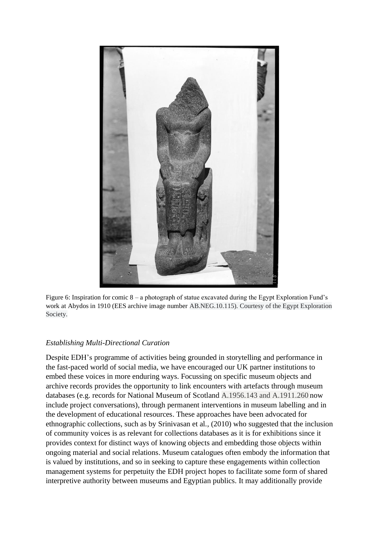

Figure 6: Inspiration for comic 8 – a photograph of statue excavated during the Egypt Exploration Fund's work at Abydos in 1910 (EES archive image number AB.NEG.10.115). Courtesy of the Egypt Exploration Society.

## *Establishing Multi-Directional Curation*

Despite EDH's programme of activities being grounded in storytelling and performance in the fast-paced world of social media, we have encouraged our UK partner institutions to embed these voices in more enduring ways. Focussing on specific museum objects and archive records provides the opportunity to link encounters with artefacts through museum databases (e.g. records for National Museum of Scotland A.1956.143 and A.1911.260 now include project conversations), through permanent interventions in museum labelling and in the development of educational resources. These approaches have been advocated for ethnographic collections, such as by Srinivasan et al., (2010) who suggested that the inclusion of community voices is as relevant for collections databases as it is for exhibitions since it provides context for distinct ways of knowing objects and embedding those objects within ongoing material and social relations. Museum catalogues often embody the information that is valued by institutions, and so in seeking to capture these engagements within collection management systems for perpetuity the EDH project hopes to facilitate some form of shared interpretive authority between museums and Egyptian publics. It may additionally provide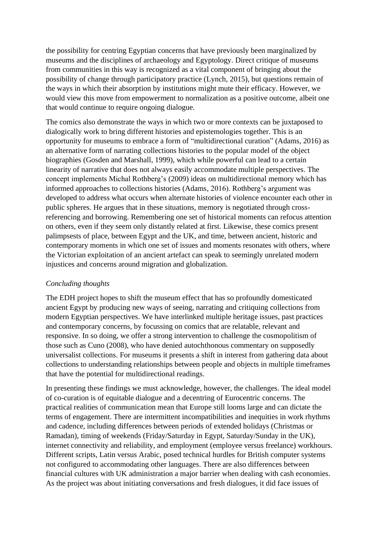the possibility for centring Egyptian concerns that have previously been marginalized by museums and the disciplines of archaeology and Egyptology. Direct critique of museums from communities in this way is recognized as a vital component of bringing about the possibility of change through participatory practice (Lynch, 2015), but questions remain of the ways in which their absorption by institutions might mute their efficacy. However, we would view this move from empowerment to normalization as a positive outcome, albeit one that would continue to require ongoing dialogue.

The comics also demonstrate the ways in which two or more contexts can be juxtaposed to dialogically work to bring different histories and epistemologies together. This is an opportunity for museums to embrace a form of "multidirectional curation" (Adams, 2016) as an alternative form of narrating collections histories to the popular model of the object biographies (Gosden and Marshall, 1999), which while powerful can lead to a certain linearity of narrative that does not always easily accommodate multiple perspectives. The concept implements Michal Rothberg's (2009) ideas on multidirectional memory which has informed approaches to collections histories (Adams, 2016). Rothberg's argument was developed to address what occurs when alternate histories of violence encounter each other in public spheres. He argues that in these situations, memory is negotiated through crossreferencing and borrowing. Remembering one set of historical moments can refocus attention on others, even if they seem only distantly related at first. Likewise, these comics present palimpsests of place, between Egypt and the UK, and time, between ancient, historic and contemporary moments in which one set of issues and moments resonates with others, where the Victorian exploitation of an ancient artefact can speak to seemingly unrelated modern injustices and concerns around migration and globalization.

## *Concluding thoughts*

The EDH project hopes to shift the museum effect that has so profoundly domesticated ancient Egypt by producing new ways of seeing, narrating and critiquing collections from modern Egyptian perspectives. We have interlinked multiple heritage issues, past practices and contemporary concerns, by focussing on comics that are relatable, relevant and responsive. In so doing, we offer a strong intervention to challenge the cosmopolitism of those such as Cuno (2008), who have denied autochthonous commentary on supposedly universalist collections. For museums it presents a shift in interest from gathering data about collections to understanding relationships between people and objects in multiple timeframes that have the potential for multidirectional readings.

In presenting these findings we must acknowledge, however, the challenges. The ideal model of co-curation is of equitable dialogue and a decentring of Eurocentric concerns. The practical realities of communication mean that Europe still looms large and can dictate the terms of engagement. There are intermittent incompatibilities and inequities in work rhythms and cadence, including differences between periods of extended holidays (Christmas or Ramadan), timing of weekends (Friday/Saturday in Egypt, Saturday/Sunday in the UK), internet connectivity and reliability, and employment (employee versus freelance) workhours. Different scripts, Latin versus Arabic, posed technical hurdles for British computer systems not configured to accommodating other languages. There are also differences between financial cultures with UK administration a major barrier when dealing with cash economies. As the project was about initiating conversations and fresh dialogues, it did face issues of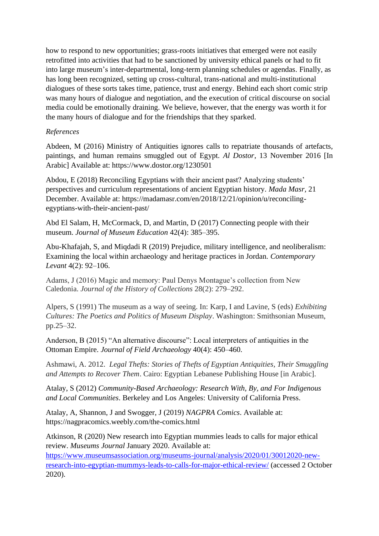how to respond to new opportunities; grass-roots initiatives that emerged were not easily retrofitted into activities that had to be sanctioned by university ethical panels or had to fit into large museum's inter-departmental, long-term planning schedules or agendas. Finally, as has long been recognized, setting up cross-cultural, trans-national and multi-institutional dialogues of these sorts takes time, patience, trust and energy. Behind each short comic strip was many hours of dialogue and negotiation, and the execution of critical discourse on social media could be emotionally draining. We believe, however, that the energy was worth it for the many hours of dialogue and for the friendships that they sparked.

#### *References*

Abdeen, M (2016) Ministry of Antiquities ignores calls to repatriate thousands of artefacts, paintings, and human remains smuggled out of Egypt. *Al Dostor*, 13 November 2016 [In Arabic] Available at: https://www.dostor.org/1230501

Abdou, E (2018) Reconciling Egyptians with their ancient past? Analyzing students' perspectives and curriculum representations of ancient Egyptian history. *Mada Masr,* 21 December. Available at: [https://madamasr.com/en/2018/12/21/opinion/u/reconciling](https://madamasr.com/en/2018/12/21/opinion/u/reconciling-egyptians-with-their-ancient-past/)[egyptians-with-their-ancient-past/](https://madamasr.com/en/2018/12/21/opinion/u/reconciling-egyptians-with-their-ancient-past/)

Abd El Salam, H, McCormack, D, and Martin, D (2017) Connecting people with their museum. *Journal of Museum Education* 42(4): 385–395.

Abu-Khafajah, S, and Miqdadi R (2019) Prejudice, military intelligence, and neoliberalism: Examining the local within archaeology and heritage practices in Jordan. *Contemporary Levant* 4(2): 92–106.

Adams, J (2016) Magic and memory: Paul Denys Montague's collection from New Caledonia. *Journal of the History of Collections* 28(2): 279–292.

Alpers, S (1991) The museum as a way of seeing. In: Karp, I and Lavine, S (eds) *Exhibiting Cultures: The Poetics and Politics of Museum Display*. Washington: Smithsonian Museum, pp.25–32.

Anderson, B (2015) "An alternative discourse": Local interpreters of antiquities in the Ottoman Empire. *Journal of Field Archaeology* 40(4): 450–460.

Ashmawi, A. 2012. *Legal Thefts: Stories of Thefts of Egyptian Antiquities, Their Smuggling and Attempts to Recover Them*. Cairo: Egyptian Lebanese Publishing House [in Arabic].

Atalay, S (2012) *Community-Based Archaeology: Research With, By, and For Indigenous and Local Communities*. Berkeley and Los Angeles: University of California Press.

Atalay, A, Shannon, J and Swogger, J (2019) *NAGPRA Comics*. Available at: https://nagpracomics.weebly.com/the-comics.html

Atkinson, R (2020) New research into Egyptian mummies leads to calls for major ethical review. *Museums Journal* January 2020. Available at:

[https://www.museumsassociation.org/museums-journal/analysis/2020/01/30012020-new](https://www.museumsassociation.org/museums-journal/analysis/2020/01/30012020-new-research-into-egyptian-mummys-leads-to-calls-for-major-ethical-review/)[research-into-egyptian-mummys-leads-to-calls-for-major-ethical-review/](https://www.museumsassociation.org/museums-journal/analysis/2020/01/30012020-new-research-into-egyptian-mummys-leads-to-calls-for-major-ethical-review/) (accessed 2 October 2020).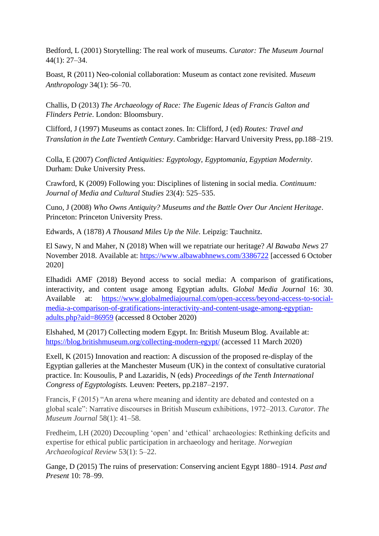Bedford, L (2001) Storytelling: The real work of museums. *Curator: The Museum Journal* 44(1): 27–34.

Boast, R (2011) Neo-colonial collaboration: Museum as contact zone revisited. *Museum Anthropology* 34(1): 56–70.

Challis, D (2013) *The Archaeology of Race: The Eugenic Ideas of Francis Galton and Flinders Petrie*. London: Bloomsbury.

Clifford, J (1997) Museums as contact zones. In: Clifford, J (ed) *Routes: Travel and Translation in the Late Twentieth Century*. Cambridge: Harvard University Press, pp.188–219.

Colla, E (2007) *Conflicted Antiquities: Egyptology, Egyptomania, Egyptian Modernity*. Durham: Duke University Press.

Crawford, K (2009) Following you: Disciplines of listening in social media. *Continuum: Journal of Media and Cultural Studies* 23(4): 525–535.

Cuno, J (2008) *Who Owns Antiquity? Museums and the Battle Over Our Ancient Heritage*. Princeton: Princeton University Press.

Edwards, A (1878) *A Thousand Miles Up the Nile*. Leipzig: Tauchnitz.

El Sawy, N and Maher, N (2018) When will we repatriate our heritage? *Al Bawaba News* 27 November 2018. Available at:<https://www.albawabhnews.com/3386722> [accessed 6 October 2020]

Elhadidi AMF (2018) Beyond access to social media: A comparison of gratifications, interactivity, and content usage among Egyptian adults. *Global Media Journal* 16: 30. Available at: [https://www.globalmediajournal.com/open-access/beyond-access-to-social](https://www.globalmediajournal.com/open-access/beyond-access-to-social-media-a-comparison-of-gratifications-interactivity-and-content-usage-among-egyptian-adults.php?aid=86959)[media-a-comparison-of-gratifications-interactivity-and-content-usage-among-egyptian](https://www.globalmediajournal.com/open-access/beyond-access-to-social-media-a-comparison-of-gratifications-interactivity-and-content-usage-among-egyptian-adults.php?aid=86959)[adults.php?aid=86959](https://www.globalmediajournal.com/open-access/beyond-access-to-social-media-a-comparison-of-gratifications-interactivity-and-content-usage-among-egyptian-adults.php?aid=86959) (accessed 8 October 2020)

Elshahed, M (2017) Collecting modern Egypt. In: British Museum Blog. Available at: <https://blog.britishmuseum.org/collecting-modern-egypt/> (accessed 11 March 2020)

Exell, K (2015) Innovation and reaction: A discussion of the proposed re-display of the Egyptian galleries at the Manchester Museum (UK) in the context of consultative curatorial practice. In: Kousoulis, P and Lazaridis, N (eds) *Proceedings of the Tenth International Congress of Egyptologists.* Leuven: Peeters, pp.2187–2197.

Francis, F (2015) "An arena where meaning and identity are debated and contested on a global scale": Narrative discourses in British Museum exhibitions, 1972–2013. *Curator. The Museum Journal* 58(1): 41–58.

Fredheim, LH (2020) Decoupling 'open' and 'ethical' archaeologies: Rethinking deficits and expertise for ethical public participation in archaeology and heritage. *Norwegian Archaeological Review* 53(1): 5–22.

Gange, D (2015) The ruins of preservation: Conserving ancient Egypt 1880–1914. *Past and Present* 10: 78–99.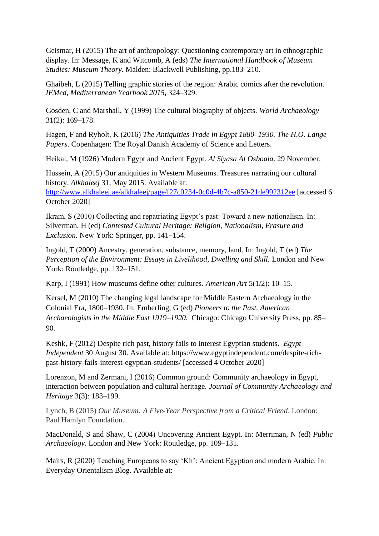Geismar, H (2015) The art of anthropology: Questioning contemporary art in ethnographic display. In: Message, K and Witcomb, A (eds) *The International Handbook of Museum Studies: Museum Theory*. Malden: Blackwell Publishing, pp.183–210.

Ghaibeh, L (2015) Telling graphic stories of the region: Arabic comics after the revolution. *IEMed, Mediterranean Yearbook 2015*, 324–329.

Gosden, C and Marshall, Y (1999) The cultural biography of objects. *World Archaeology* 31(2): 169–178.

Hagen, F and Ryholt, K (2016) *The Antiquities Trade in Egypt 1880–1930. The H.O. Lange Papers*. Copenhagen: The Royal Danish Academy of Science and Letters.

Heikal, M (1926) Modern Egypt and Ancient Egypt. *Al Siyasa Al Osboaia*. 29 November.

Hussein, A (2015) Our antiquities in Western Museums. Treasures narrating our cultural history. *Alkhaleej* 31, May 2015. Available at: <http://www.alkhaleej.ae/alkhaleej/page/f27c0234-0c0d-4b7c-a850-21de992312ee> [accessed 6 October 2020]

Ikram, S (2010) Collecting and repatriating Egypt's past: Toward a new nationalism. In: Silverman, H (ed) *Contested Cultural Heritage: Religion, Nationalism, Erasure and Exclusion.* New York: Springer, pp. 141–154.

Ingold, T (2000) Ancestry, generation, substance, memory, land. In: Ingold, T (ed) *The Perception of the Environment: Essays in Livelihood, Dwelling and Skill.* London and New York: Routledge, pp. 132–151.

Karp, I (1991) How museums define other cultures. *American Art* 5(1/2): 10–15.

Kersel, M (2010) The changing legal landscape for Middle Eastern Archaeology in the Colonial Era, 1800–1930. In: Emberling, G (ed) *Pioneers to the Past. American Archaeologists in the Middle East 1919–1920.* Chicago: Chicago University Press, pp. 85– 90.

Keshk, F (2012) Despite rich past, history fails to interest Egyptian students. *Egypt Independent* 30 August 30. Available at: https://www.egyptindependent.com/despite-richpast-history-fails-interest-egyptian-students/ [accessed 4 October 2020]

Lorenzon, M and Zermani, I (2016) Common ground: Community archaeology in Egypt, interaction between population and cultural heritage. *Journal of Community Archaeology and Heritage* 3(3): 183–199.

Lynch, B (2015) *Our Museum: A Five-Year Perspective from a Critical Friend*. London: Paul Hamlyn Foundation.

MacDonald, S and Shaw, C (2004) Uncovering Ancient Egypt. In: Merriman, N (ed) *Public Archaeology*. London and New York: Routledge, pp. 109–131.

Mairs, R (2020) Teaching Europeans to say 'Kh': Ancient Egyptian and modern Arabic. In: Everyday Orientalism Blog. Available at: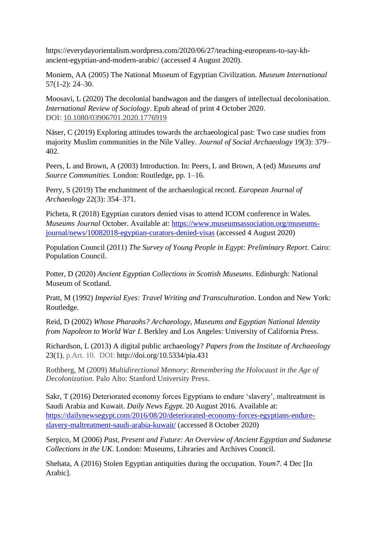https://everydayorientalism.wordpress.com/2020/06/27/teaching-europeans-to-say-khancient-egyptian-and-modern-arabic/ (accessed 4 August 2020).

Moniem, AA (2005) The National Museum of Egyptian Civilization. *Museum International* 57(1-2): 24–30.

Moosavi, L (2020) The decolonial bandwagon and the dangers of intellectual decolonisation. *International Review of Sociology*. Epub ahead of print 4 October 2020. DOI: [10.1080/03906701.2020.1776919](https://doi.org/10.1080/03906701.2020.1776919)

Näser, C (2019) Exploring attitudes towards the archaeological past: Two case studies from majority Muslim communities in the Nile Valley. *Journal of Social Archaeology* 19(3): 379– 402.

Peers, L and Brown, A (2003) Introduction. In: Peers, L and Brown, A (ed) *Museums and Source Communities*. London: Routledge, pp. 1–16.

Perry, S (2019) The enchantment of the archaeological record. *European Journal of Archaeology* 22(3): 354–371.

Picheta, R (2018) Egyptian curators denied visas to attend ICOM conference in Wales. *Museums Journal* October. Available at: [https://www.museumsassociation.org/museums](https://www.museumsassociation.org/museums-journal/news/10082018-egyptian-curators-denied-visas)[journal/news/10082018-egyptian-curators-denied-visas](https://www.museumsassociation.org/museums-journal/news/10082018-egyptian-curators-denied-visas) (accessed 4 August 2020)

Population Council (2011) *The Survey of Young People in Egypt: Preliminary Report*. Cairo: Population Council.

Potter, D (2020) *Ancient Egyptian Collections in Scottish Museums*. Edinburgh: National Museum of Scotland.

Pratt, M (1992) *Imperial Eyes: Travel Writing and Transculturation*. London and New York: Routledge.

Reid, D (2002) *Whose Pharaohs? Archaeology, Museums and Egyptian National Identity from Napoleon to World War I*. Berkley and Los Angeles: University of California Press.

Richardson, L (2013) A digital public archaeology? *Papers from the Institute of Archaeology* 23(1), p.Art. 10. DOI: http://doi.org/10.5334/pia.431

Rothberg, M (2009) *Multidirectional Memory: Remembering the Holocaust in the Age of Decolonization*. Palo Alto: Stanford University Press.

Sakr, T (2016) Deteriorated economy forces Egyptians to endure 'slavery', maltreatment in Saudi Arabia and Kuwait. *Daily News Egypt*. 20 August 2016. Available at: [https://dailynewsegypt.com/2016/08/20/deteriorated-economy-forces-egyptians-endure](https://dailynewsegypt.com/2016/08/20/deteriorated-economy-forces-egyptians-endure-slavery-maltreatment-saudi-arabia-kuwait/)[slavery-maltreatment-saudi-arabia-kuwait/](https://dailynewsegypt.com/2016/08/20/deteriorated-economy-forces-egyptians-endure-slavery-maltreatment-saudi-arabia-kuwait/) (accessed 8 October 2020)

Serpico, M (2006) *Past, Present and Future: An Overview of Ancient Egyptian and Sudanese Collections in the UK*. London: Museums, Libraries and Archives Council.

Shehata, A (2016) Stolen Egyptian antiquities during the occupation. *Youm7*. 4 Dec [In Arabic].